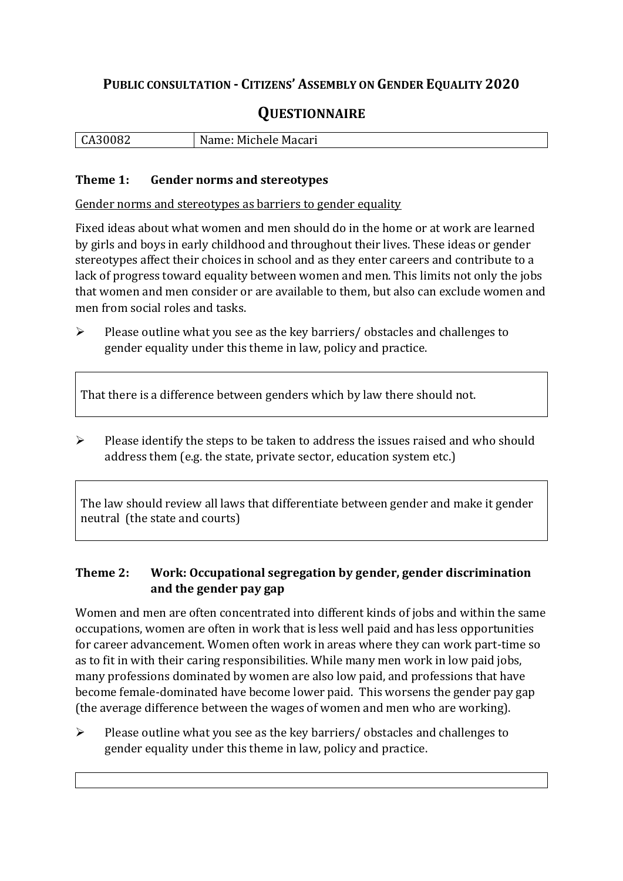## **PUBLIC CONSULTATION - CITIZENS' ASSEMBLY ON GENDER EQUALITY 2020**

# **QUESTIONNAIRE**

| l CA3 | Macari  |
|-------|---------|
| 04    | Michele |
| ື້    | IM.     |
|       |         |

#### **Theme 1: Gender norms and stereotypes**

Gender norms and stereotypes as barriers to gender equality

Fixed ideas about what women and men should do in the home or at work are learned by girls and boys in early childhood and throughout their lives. These ideas or gender stereotypes affect their choices in school and as they enter careers and contribute to a lack of progress toward equality between women and men. This limits not only the jobs that women and men consider or are available to them, but also can exclude women and men from social roles and tasks.

➢ Please outline what you see as the key barriers/ obstacles and challenges to gender equality under this theme in law, policy and practice.

That there is a difference between genders which by law there should not.

➢ Please identify the steps to be taken to address the issues raised and who should address them (e.g. the state, private sector, education system etc.)

The law should review all laws that differentiate between gender and make it gender neutral (the state and courts)

### **Theme 2: Work: Occupational segregation by gender, gender discrimination and the gender pay gap**

Women and men are often concentrated into different kinds of jobs and within the same occupations, women are often in work that is less well paid and has less opportunities for career advancement. Women often work in areas where they can work part-time so as to fit in with their caring responsibilities. While many men work in low paid jobs, many professions dominated by women are also low paid, and professions that have become female-dominated have become lower paid. This worsens the gender pay gap (the average difference between the wages of women and men who are working).

➢ Please outline what you see as the key barriers/ obstacles and challenges to gender equality under this theme in law, policy and practice.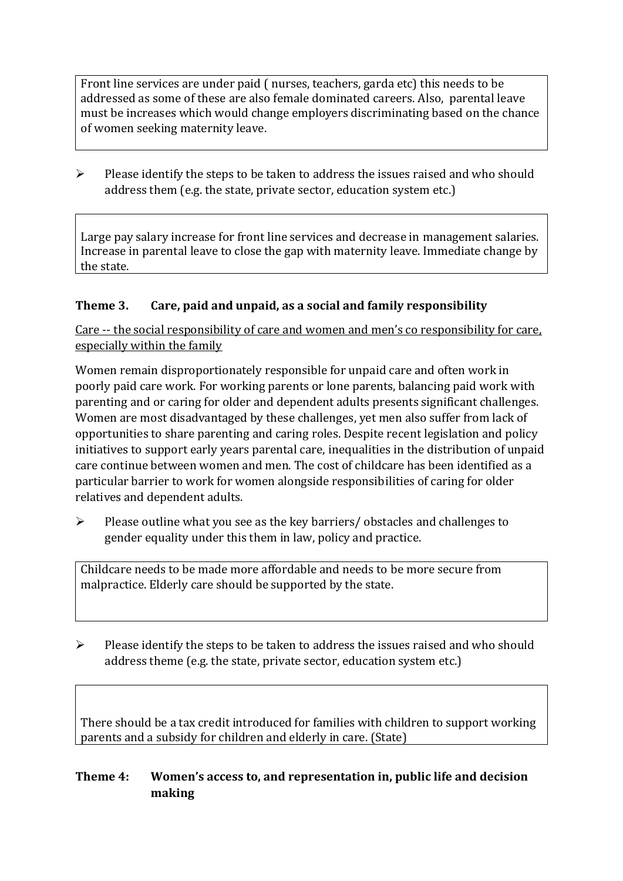Front line services are under paid ( nurses, teachers, garda etc) this needs to be addressed as some of these are also female dominated careers. Also, parental leave must be increases which would change employers discriminating based on the chance of women seeking maternity leave.

➢ Please identify the steps to be taken to address the issues raised and who should address them (e.g. the state, private sector, education system etc.)

Large pay salary increase for front line services and decrease in management salaries. Increase in parental leave to close the gap with maternity leave. Immediate change by the state.

#### **Theme 3. Care, paid and unpaid, as a social and family responsibility**

Care -- the social responsibility of care and women and men's co responsibility for care, especially within the family

Women remain disproportionately responsible for unpaid care and often work in poorly paid care work. For working parents or [lone parents,](https://aran.library.nuigalway.ie/bitstream/handle/10379/6044/Millar_and_Crosse_Activation_Report.pdf?sequence=1&isAllowed=y) balancing paid work with parenting and or caring for older and dependent adults presents significant challenges. Women are [most disadvantaged by these challenges,](https://eige.europa.eu/gender-equality-index/game/IE/W) yet men also suffer from lack of opportunities to share parenting and caring roles. Despite recent legislation and policy initiatives to support early years parental care, [inequalities in the distribution of unpaid](https://www.ihrec.ie/app/uploads/2019/07/Caring-and-Unpaid-Work-in-Ireland_Final.pdf)  [care](https://www.ihrec.ie/app/uploads/2019/07/Caring-and-Unpaid-Work-in-Ireland_Final.pdf) continue between women and men. The cost of childcare has been identified as a particular barrier to work for women alongside responsibilities of caring for older relatives and dependent adults.

➢ Please outline what you see as the key barriers/ obstacles and challenges to gender equality under this them in law, policy and practice.

Childcare needs to be made more affordable and needs to be more secure from malpractice. Elderly care should be supported by the state.

 $\triangleright$  Please identify the steps to be taken to address the issues raised and who should address theme (e.g. the state, private sector, education system etc.)

There should be a tax credit introduced for families with children to support working parents and a subsidy for children and elderly in care. (State)

### **Theme 4: Women's access to, and representation in, public life and decision making**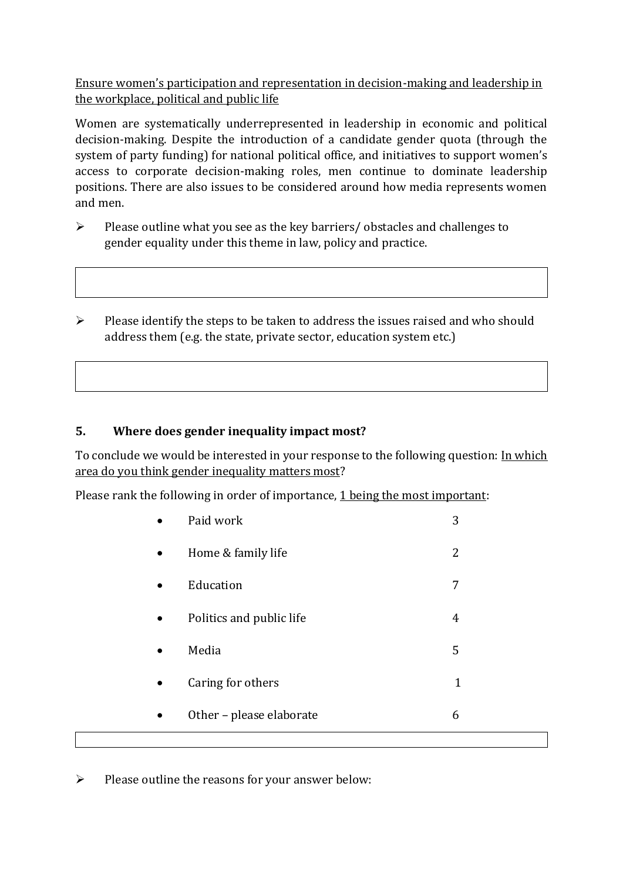Ensure women's participation and representation in decision-making and leadership in the workplace, political and public life

Women are systematically underrepresented in leadership in [economic](https://eige.europa.eu/gender-equality-index/2019/compare-countries/power/2/bar) and [political](https://eige.europa.eu/gender-equality-index/2019/compare-countries/power/1/bar)  [decision-](https://eige.europa.eu/gender-equality-index/2019/compare-countries/power/1/bar)making. Despite the introduction of a candidate gender quota (through the system of party funding) for national political office, and [initiatives](https://betterbalance.ie/) to support women's access to corporate decision-making roles, men continue to dominate leadership positions. There are also issues to be considered around how media represents women and men.

- ➢ Please outline what you see as the key barriers/ obstacles and challenges to gender equality under this theme in law, policy and practice.
- ➢ Please identify the steps to be taken to address the issues raised and who should address them (e.g. the state, private sector, education system etc.)

### **5. Where does gender inequality impact most?**

To conclude we would be interested in your response to the following question: In which area do you think gender inequality matters most?

Please rank the following in order of importance, 1 being the most important:

|           | Paid work                | 3           |
|-----------|--------------------------|-------------|
| $\bullet$ | Home & family life       | 2           |
| $\bullet$ | Education                | 7           |
|           | Politics and public life | 4           |
|           | Media                    | 5           |
| ٠         | Caring for others        | $\mathbf 1$ |
|           | Other - please elaborate | 6           |
|           |                          |             |

➢ Please outline the reasons for your answer below: